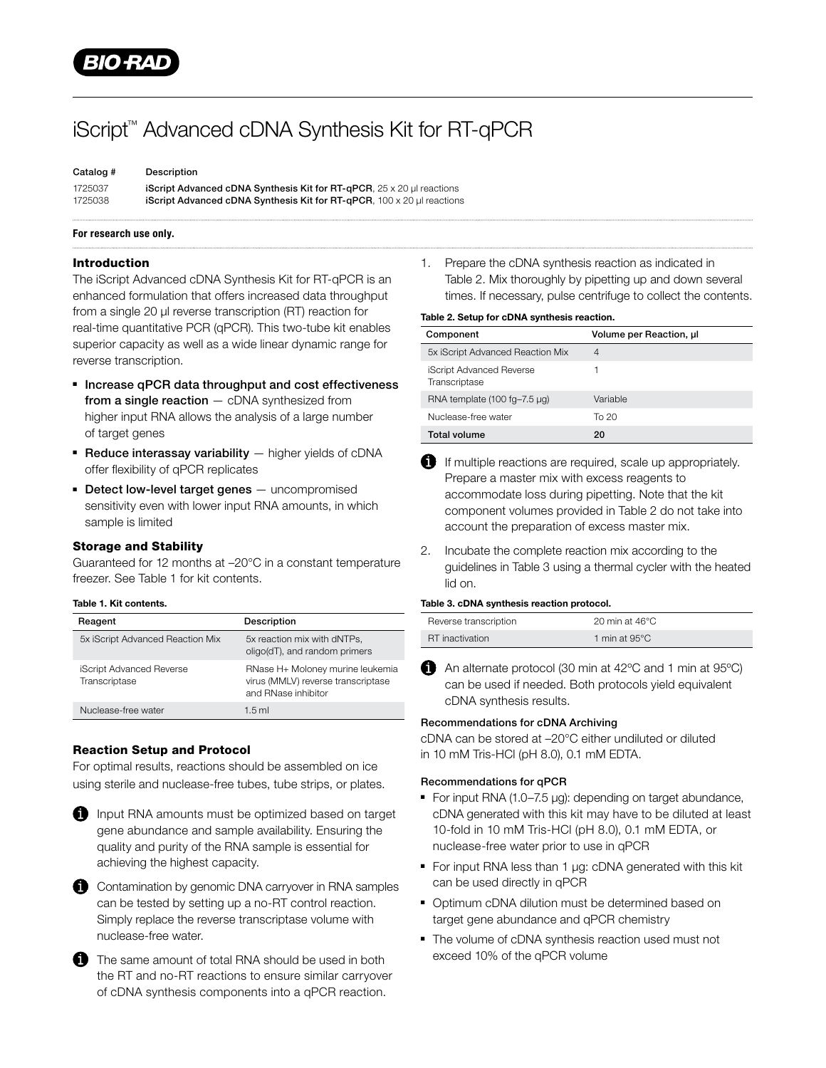

# iScript™ Advanced cDNA Synthesis Kit for RT-qPCR

| Catalog # | Description                                                                                |
|-----------|--------------------------------------------------------------------------------------------|
| 1725037   | <b>iScript Advanced cDNA Synthesis Kit for RT-gPCR.</b> $25 \times 20$ ul reactions        |
| 1725038   | <b>iScript Advanced cDNA Synthesis Kit for RT-<math>qPCR</math>.</b> 100 x 20 ul reactions |

## For research use only.

### Introduction

The iScript Advanced cDNA Synthesis Kit for RT-qPCR is an enhanced formulation that offers increased data throughput from a single 20 µl reverse transcription (RT) reaction for real-time quantitative PCR (qPCR). This two-tube kit enables superior capacity as well as a wide linear dynamic range for reverse transcription.

- Increase qPCR data throughput and cost effectiveness from a single reaction  $-$  cDNA synthesized from higher input RNA allows the analysis of a large number of target genes
- $\blacksquare$  Reduce interassay variability  $-$  higher yields of cDNA offer flexibility of qPCR replicates
- **Detect low-level target genes** uncompromised sensitivity even with lower input RNA amounts, in which sample is limited

# Storage and Stability

Guaranteed for 12 months at –20°C in a constant temperature freezer. See Table 1 for kit contents.

#### Table 1. Kit contents.

| Reagent                                   | <b>Description</b>                                                                            |
|-------------------------------------------|-----------------------------------------------------------------------------------------------|
| 5x iScript Advanced Reaction Mix          | 5x reaction mix with dNTPs,<br>oligo(dT), and random primers                                  |
| iScript Advanced Reverse<br>Transcriptase | RNase H+ Moloney murine leukemia<br>virus (MMLV) reverse transcriptase<br>and RNase inhibitor |
| Nuclease-free water                       | $1.5$ ml                                                                                      |

# Reaction Setup and Protocol

For optimal results, reactions should be assembled on ice using sterile and nuclease-free tubes, tube strips, or plates.



**Input RNA amounts must be optimized based on target** gene abundance and sample availability. Ensuring the quality and purity of the RNA sample is essential for achieving the highest capacity.



The same amount of total RNA should be used in both the RT and no-RT reactions to ensure similar carryover of cDNA synthesis components into a qPCR reaction.

1. Prepare the cDNA synthesis reaction as indicated in Table 2. Mix thoroughly by pipetting up and down several times. If necessary, pulse centrifuge to collect the contents.

#### Table 2. Setup for cDNA synthesis reaction.

| Component                                        | Volume per Reaction, ul |
|--------------------------------------------------|-------------------------|
| 5x iScript Advanced Reaction Mix                 | 4                       |
| <b>iScript Advanced Reverse</b><br>Transcriptase |                         |
| RNA template $(100 \text{ fg}-7.5 \mu g)$        | Variable                |
| Nuclease-free water                              | To 20                   |
| <b>Total volume</b>                              | 20                      |

- If multiple reactions are required, scale up appropriately. Prepare a master mix with excess reagents to accommodate loss during pipetting. Note that the kit component volumes provided in Table 2 do not take into account the preparation of excess master mix.
- 2. Incubate the complete reaction mix according to the guidelines in Table 3 using a thermal cycler with the heated lid on.

#### Table 3. cDNA synthesis reaction protocol.

| Reverse transcription | 20 min at $46^{\circ}$ C |
|-----------------------|--------------------------|
| RT inactivation       | 1 min at 95°C            |

An alternate protocol (30 min at 42°C and 1 min at 95°C) can be used if needed. Both protocols yield equivalent cDNA synthesis results.

## Recommendations for cDNA Archiving

cDNA can be stored at –20°C either undiluted or diluted in 10 mM Tris-HCl (pH 8.0), 0.1 mM EDTA.

#### Recommendations for qPCR

- For input RNA (1.0–7.5 µg): depending on target abundance, cDNA generated with this kit may have to be diluted at least 10-fold in 10 mM Tris-HCl (pH 8.0), 0.1 mM EDTA, or nuclease-free water prior to use in qPCR
- For input RNA less than 1 µg: cDNA generated with this kit can be used directly in qPCR
- Optimum cDNA dilution must be determined based on target gene abundance and qPCR chemistry
- The volume of cDNA synthesis reaction used must not exceed 10% of the qPCR volume